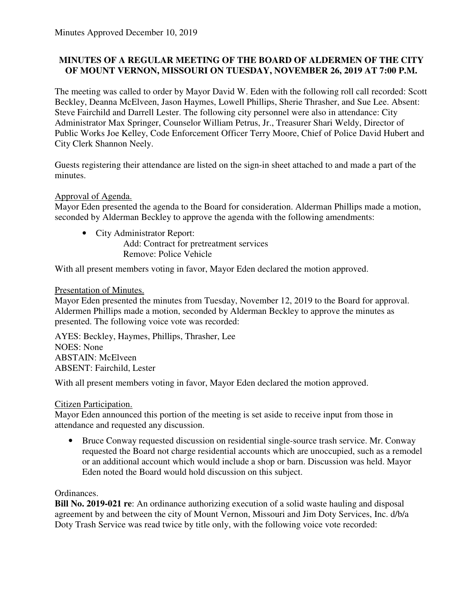# **MINUTES OF A REGULAR MEETING OF THE BOARD OF ALDERMEN OF THE CITY OF MOUNT VERNON, MISSOURI ON TUESDAY, NOVEMBER 26, 2019 AT 7:00 P.M.**

The meeting was called to order by Mayor David W. Eden with the following roll call recorded: Scott Beckley, Deanna McElveen, Jason Haymes, Lowell Phillips, Sherie Thrasher, and Sue Lee. Absent: Steve Fairchild and Darrell Lester. The following city personnel were also in attendance: City Administrator Max Springer, Counselor William Petrus, Jr., Treasurer Shari Weldy, Director of Public Works Joe Kelley, Code Enforcement Officer Terry Moore, Chief of Police David Hubert and City Clerk Shannon Neely.

Guests registering their attendance are listed on the sign-in sheet attached to and made a part of the minutes.

## Approval of Agenda.

Mayor Eden presented the agenda to the Board for consideration. Alderman Phillips made a motion, seconded by Alderman Beckley to approve the agenda with the following amendments:

• City Administrator Report: Add: Contract for pretreatment services Remove: Police Vehicle

With all present members voting in favor, Mayor Eden declared the motion approved.

## Presentation of Minutes.

Mayor Eden presented the minutes from Tuesday, November 12, 2019 to the Board for approval. Aldermen Phillips made a motion, seconded by Alderman Beckley to approve the minutes as presented. The following voice vote was recorded:

AYES: Beckley, Haymes, Phillips, Thrasher, Lee NOES: None ABSTAIN: McElveen ABSENT: Fairchild, Lester

With all present members voting in favor, Mayor Eden declared the motion approved.

### Citizen Participation.

Mayor Eden announced this portion of the meeting is set aside to receive input from those in attendance and requested any discussion.

• Bruce Conway requested discussion on residential single-source trash service. Mr. Conway requested the Board not charge residential accounts which are unoccupied, such as a remodel or an additional account which would include a shop or barn. Discussion was held. Mayor Eden noted the Board would hold discussion on this subject.

### Ordinances.

**Bill No. 2019-021 re**: An ordinance authorizing execution of a solid waste hauling and disposal agreement by and between the city of Mount Vernon, Missouri and Jim Doty Services, Inc. d/b/a Doty Trash Service was read twice by title only, with the following voice vote recorded: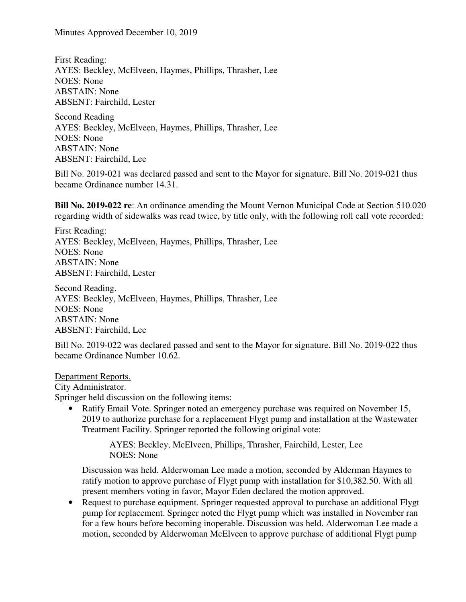First Reading: AYES: Beckley, McElveen, Haymes, Phillips, Thrasher, Lee NOES: None ABSTAIN: None ABSENT: Fairchild, Lester

Second Reading AYES: Beckley, McElveen, Haymes, Phillips, Thrasher, Lee NOES: None ABSTAIN: None ABSENT: Fairchild, Lee

Bill No. 2019-021 was declared passed and sent to the Mayor for signature. Bill No. 2019-021 thus became Ordinance number 14.31.

**Bill No. 2019-022 re**: An ordinance amending the Mount Vernon Municipal Code at Section 510.020 regarding width of sidewalks was read twice, by title only, with the following roll call vote recorded:

First Reading: AYES: Beckley, McElveen, Haymes, Phillips, Thrasher, Lee NOES: None ABSTAIN: None ABSENT: Fairchild, Lester

Second Reading. AYES: Beckley, McElveen, Haymes, Phillips, Thrasher, Lee NOES: None ABSTAIN: None ABSENT: Fairchild, Lee

Bill No. 2019-022 was declared passed and sent to the Mayor for signature. Bill No. 2019-022 thus became Ordinance Number 10.62.

#### Department Reports.

City Administrator.

Springer held discussion on the following items:

Ratify Email Vote. Springer noted an emergency purchase was required on November 15, 2019 to authorize purchase for a replacement Flygt pump and installation at the Wastewater Treatment Facility. Springer reported the following original vote:

> AYES: Beckley, McElveen, Phillips, Thrasher, Fairchild, Lester, Lee NOES: None

Discussion was held. Alderwoman Lee made a motion, seconded by Alderman Haymes to ratify motion to approve purchase of Flygt pump with installation for \$10,382.50. With all present members voting in favor, Mayor Eden declared the motion approved.

• Request to purchase equipment. Springer requested approval to purchase an additional Flygt pump for replacement. Springer noted the Flygt pump which was installed in November ran for a few hours before becoming inoperable. Discussion was held. Alderwoman Lee made a motion, seconded by Alderwoman McElveen to approve purchase of additional Flygt pump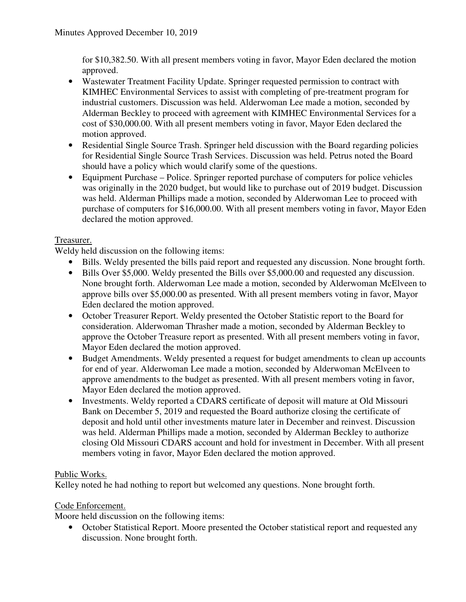for \$10,382.50. With all present members voting in favor, Mayor Eden declared the motion approved.

- Wastewater Treatment Facility Update. Springer requested permission to contract with KIMHEC Environmental Services to assist with completing of pre-treatment program for industrial customers. Discussion was held. Alderwoman Lee made a motion, seconded by Alderman Beckley to proceed with agreement with KIMHEC Environmental Services for a cost of \$30,000.00. With all present members voting in favor, Mayor Eden declared the motion approved.
- Residential Single Source Trash. Springer held discussion with the Board regarding policies for Residential Single Source Trash Services. Discussion was held. Petrus noted the Board should have a policy which would clarify some of the questions.
- Equipment Purchase Police. Springer reported purchase of computers for police vehicles was originally in the 2020 budget, but would like to purchase out of 2019 budget. Discussion was held. Alderman Phillips made a motion, seconded by Alderwoman Lee to proceed with purchase of computers for \$16,000.00. With all present members voting in favor, Mayor Eden declared the motion approved.

# Treasurer.

Weldy held discussion on the following items:

- Bills. Weldy presented the bills paid report and requested any discussion. None brought forth.
- Bills Over \$5,000. Weldy presented the Bills over \$5,000.00 and requested any discussion. None brought forth. Alderwoman Lee made a motion, seconded by Alderwoman McElveen to approve bills over \$5,000.00 as presented. With all present members voting in favor, Mayor Eden declared the motion approved.
- October Treasurer Report. Weldy presented the October Statistic report to the Board for consideration. Alderwoman Thrasher made a motion, seconded by Alderman Beckley to approve the October Treasure report as presented. With all present members voting in favor, Mayor Eden declared the motion approved.
- Budget Amendments. Weldy presented a request for budget amendments to clean up accounts for end of year. Alderwoman Lee made a motion, seconded by Alderwoman McElveen to approve amendments to the budget as presented. With all present members voting in favor, Mayor Eden declared the motion approved.
- Investments. Weldy reported a CDARS certificate of deposit will mature at Old Missouri Bank on December 5, 2019 and requested the Board authorize closing the certificate of deposit and hold until other investments mature later in December and reinvest. Discussion was held. Alderman Phillips made a motion, seconded by Alderman Beckley to authorize closing Old Missouri CDARS account and hold for investment in December. With all present members voting in favor, Mayor Eden declared the motion approved.

### Public Works.

Kelley noted he had nothing to report but welcomed any questions. None brought forth.

### Code Enforcement.

Moore held discussion on the following items:

• October Statistical Report. Moore presented the October statistical report and requested any discussion. None brought forth.